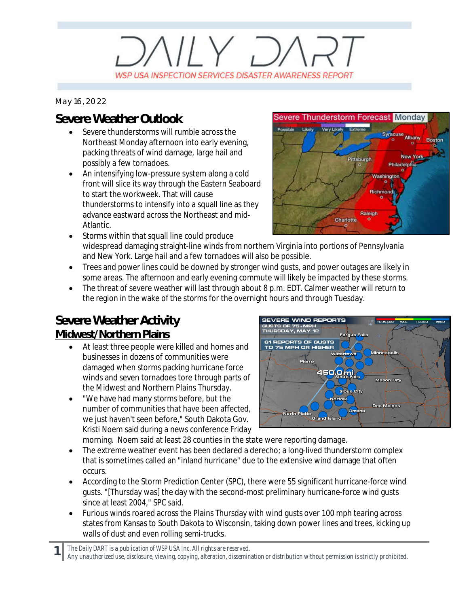# $V/Y$   $D$ WSP USA INSPECTION SERVICES DISASTER AWARENESS REPORT

*May 16, 2022*

## **Severe Weather Outlook**

- Severe thunderstorms will rumble across the Northeast Monday afternoon into early evening, packing threats of wind damage, large hail and possibly a few tornadoes.
- An intensifying low-pressure system along a cold front will slice its way through the Eastern Seaboard to start the workweek. That will cause thunderstorms to intensify into a squall line as they advance eastward across the Northeast and mid-Atlantic.



- Storms within that squall line could produce widespread damaging straight-line winds from northern Virginia into portions of Pennsylvania and New York. Large hail and a few tornadoes will also be possible.
- · Trees and power lines could be downed by stronger wind gusts, and power outages are likely in some areas. The afternoon and early evening commute will likely be impacted by these storms.
- · The threat of severe weather will last through about 8 p.m. EDT. Calmer weather will return to the region in the wake of the storms for the overnight hours and through Tuesday.

## **Severe Weather Activity**

#### **Midwest/Northern Plains**

**1**

- At least three people were killed and homes and businesses in dozens of communities were damaged when storms packing hurricane force winds and seven tornadoes tore through parts of the Midwest and Northern Plains Thursday.
- · "We have had many storms before, but the number of communities that have been affected, we just haven't seen before," South Dakota Gov. Kristi Noem said during a news conference Friday



morning. Noem said at least 28 counties in the state were reporting damage.

- The extreme weather event has been declared a derecho; a long-lived thunderstorm complex that is sometimes called an "inland hurricane" due to the extensive wind damage that often occurs.
- · According to the Storm Prediction Center (SPC), there were 55 significant hurricane-force wind gusts. "[Thursday was] the day with the second-most preliminary hurricane-force wind gusts since at least 2004," SPC said.
- · Furious winds roared across the Plains Thursday with wind gusts over 100 mph tearing across states from Kansas to South Dakota to Wisconsin, taking down power lines and trees, kicking up walls of dust and even rolling semi-trucks.

*The Daily DART is a publication of WSP USA Inc. All rights are reserved.*